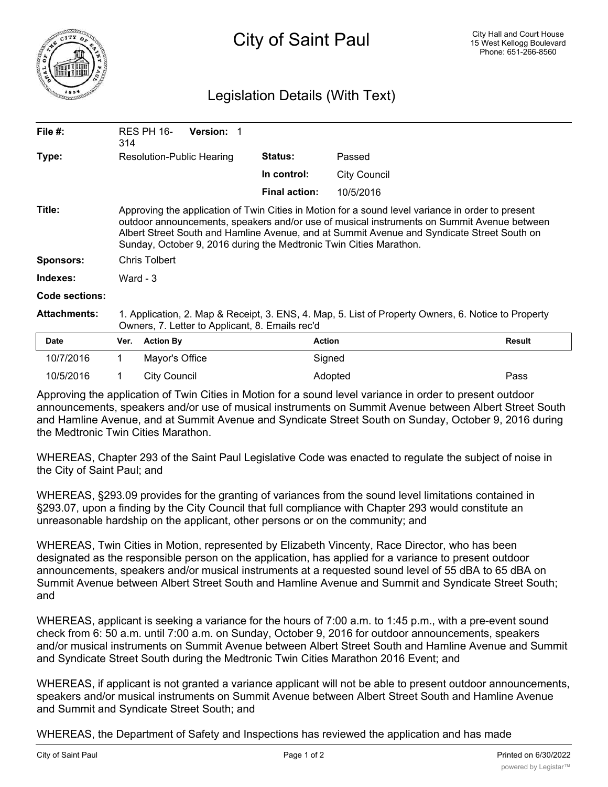

## Legislation Details (With Text)

| File #:             | 314                                                                                                                                                                                                                                                                                                                                                                 | RES PH 16-       | Version: 1  |                      |           |        |
|---------------------|---------------------------------------------------------------------------------------------------------------------------------------------------------------------------------------------------------------------------------------------------------------------------------------------------------------------------------------------------------------------|------------------|-------------|----------------------|-----------|--------|
| Type:               | Resolution-Public Hearing                                                                                                                                                                                                                                                                                                                                           |                  |             | <b>Status:</b>       | Passed    |        |
|                     |                                                                                                                                                                                                                                                                                                                                                                     |                  | In control: | <b>City Council</b>  |           |        |
|                     |                                                                                                                                                                                                                                                                                                                                                                     |                  |             | <b>Final action:</b> | 10/5/2016 |        |
| Title:              | Approving the application of Twin Cities in Motion for a sound level variance in order to present<br>outdoor announcements, speakers and/or use of musical instruments on Summit Avenue between<br>Albert Street South and Hamline Avenue, and at Summit Avenue and Syndicate Street South on<br>Sunday, October 9, 2016 during the Medtronic Twin Cities Marathon. |                  |             |                      |           |        |
| <b>Sponsors:</b>    | Chris Tolbert                                                                                                                                                                                                                                                                                                                                                       |                  |             |                      |           |        |
| Indexes:            | Ward - $3$                                                                                                                                                                                                                                                                                                                                                          |                  |             |                      |           |        |
| Code sections:      |                                                                                                                                                                                                                                                                                                                                                                     |                  |             |                      |           |        |
| <b>Attachments:</b> | 1. Application, 2. Map & Receipt, 3. ENS, 4. Map, 5. List of Property Owners, 6. Notice to Property<br>Owners, 7. Letter to Applicant, 8. Emails rec'd                                                                                                                                                                                                              |                  |             |                      |           |        |
| <b>Date</b>         | Ver.                                                                                                                                                                                                                                                                                                                                                                | <b>Action By</b> |             | <b>Action</b>        |           | Result |
| 10/7/2016           | 1.                                                                                                                                                                                                                                                                                                                                                                  | Mayor's Office   |             |                      | Signed    |        |
| 10/5/2016           |                                                                                                                                                                                                                                                                                                                                                                     | City Council     |             |                      | Adopted   | Pass   |

Approving the application of Twin Cities in Motion for a sound level variance in order to present outdoor announcements, speakers and/or use of musical instruments on Summit Avenue between Albert Street South and Hamline Avenue, and at Summit Avenue and Syndicate Street South on Sunday, October 9, 2016 during the Medtronic Twin Cities Marathon.

WHEREAS, Chapter 293 of the Saint Paul Legislative Code was enacted to regulate the subject of noise in the City of Saint Paul; and

WHEREAS, §293.09 provides for the granting of variances from the sound level limitations contained in §293.07, upon a finding by the City Council that full compliance with Chapter 293 would constitute an unreasonable hardship on the applicant, other persons or on the community; and

WHEREAS, Twin Cities in Motion, represented by Elizabeth Vincenty, Race Director, who has been designated as the responsible person on the application, has applied for a variance to present outdoor announcements, speakers and/or musical instruments at a requested sound level of 55 dBA to 65 dBA on Summit Avenue between Albert Street South and Hamline Avenue and Summit and Syndicate Street South; and

WHEREAS, applicant is seeking a variance for the hours of 7:00 a.m. to 1:45 p.m., with a pre-event sound check from 6: 50 a.m. until 7:00 a.m. on Sunday, October 9, 2016 for outdoor announcements, speakers and/or musical instruments on Summit Avenue between Albert Street South and Hamline Avenue and Summit and Syndicate Street South during the Medtronic Twin Cities Marathon 2016 Event; and

WHEREAS, if applicant is not granted a variance applicant will not be able to present outdoor announcements, speakers and/or musical instruments on Summit Avenue between Albert Street South and Hamline Avenue and Summit and Syndicate Street South; and

WHEREAS, the Department of Safety and Inspections has reviewed the application and has made